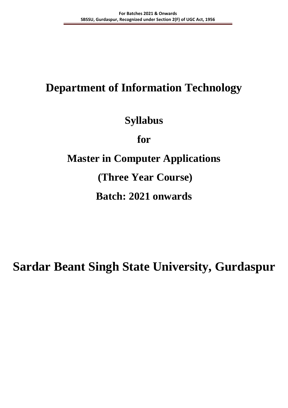## **Department of Information Technology**

## **Syllabus**

**for**

## **Master in Computer Applications**

**(Three Year Course)**

## **Batch: 2021 onwards**

## **Sardar Beant Singh State University, Gurdaspur**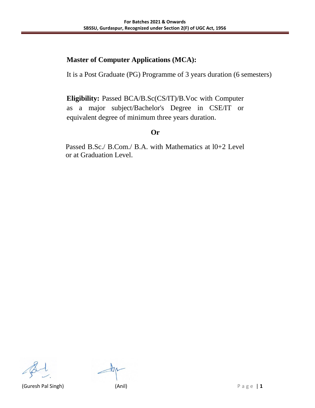#### **Master of Computer Applications (MCA):**

It is a Post Graduate (PG) Programme of 3 years duration (6 semesters)

**Eligibility:** Passed BCA/B.Sc(CS/IT)/B.Voc with Computer as a major subject/Bachelor's Degree in CSE/IT or equivalent degree of minimum three years duration.

#### **Or**

Passed B.Sc./ B.Com./ B.A. with Mathematics at l0+2 Level or at Graduation Level.

(Guresh Pal Singh) (Anil) P a g e | **1**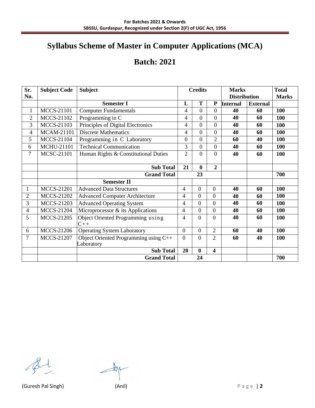## **Syllabus Scheme of Master in Computer Applications (MCA)**

### **Batch: 2021**

| Sr.            | <b>Subject Code</b> | <b>Subject</b>                             | <b>Credits</b>           |                | <b>Marks</b>     |                     | <b>Total</b>    |              |
|----------------|---------------------|--------------------------------------------|--------------------------|----------------|------------------|---------------------|-----------------|--------------|
| No.            |                     |                                            |                          |                |                  | <b>Distribution</b> |                 | <b>Marks</b> |
|                |                     | <b>Semester I</b>                          | L                        | T              | ${\bf P}$        | <b>Internal</b>     | <b>External</b> |              |
| $\mathbf{1}$   | <b>MCCS-21101</b>   | <b>Computer Fundamentals</b>               | $\overline{4}$           | $\theta$       | $\overline{0}$   | 40                  | 60              | 100          |
| $\overline{2}$ | <b>MCCS-21102</b>   | Programming in C                           | 4                        | $\overline{0}$ | $\overline{0}$   | 40                  | 60              | 100          |
| $\overline{3}$ | <b>MCCS-21103</b>   | Principles of Digital Electronics          | $\overline{\mathcal{L}}$ | $\overline{0}$ | $\boldsymbol{0}$ | 40                  | 60              | 100          |
| 4              | <b>MCAM-21101</b>   | <b>Discrete Mathematics</b>                | $\overline{4}$           | $\overline{0}$ | $\boldsymbol{0}$ | 40                  | 60              | 100          |
| 5              | <b>MCCS-21104</b>   | Programming in C Laboratory                | $\overline{0}$           | $\overline{0}$ | $\overline{2}$   | 60                  | 40              | 100          |
| 6              | MCHU-21101          | <b>Technical Communication</b>             | 3                        | $\overline{0}$ | $\boldsymbol{0}$ | 40                  | 60              | 100          |
| 7              | <b>MCSC-21101</b>   | Human Rights & Constitutional Duties       | $\overline{2}$           | $\overline{0}$ | $\overline{0}$   | 40                  | 60              | 100          |
|                |                     |                                            |                          |                |                  |                     |                 |              |
|                |                     | <b>Sub Total</b>                           | 21                       | $\bf{0}$       | $\overline{2}$   |                     |                 |              |
|                |                     | <b>Grand Total</b>                         |                          | 23             |                  |                     |                 | 700          |
|                |                     | <b>Semester II</b>                         |                          |                |                  |                     |                 |              |
| 1              | <b>MCCS-21201</b>   | <b>Advanced Data Structures</b>            | 4                        | $\overline{0}$ | $\overline{0}$   | 40                  | 60              | 100          |
| $\overline{2}$ | <b>MCCS-21202</b>   | <b>Advanced Computer Architecture</b>      | 4                        | $\overline{0}$ | $\overline{0}$   | 40                  | 60              | 100          |
| 3              | <b>MCCS-21203</b>   | <b>Advanced Operating System</b>           | 4                        | $\overline{0}$ | $\overline{0}$   | 40                  | 60              | 100          |
| $\overline{4}$ | <b>MCCS-21204</b>   | Microprocessor & its Applications          | 4                        | $\overline{0}$ | $\overline{0}$   | 40                  | 60              | 100          |
| 5              | <b>MCCS-21205</b>   | Object Oriented Programming using<br>$C++$ | 4                        | $\overline{0}$ | $\overline{0}$   | 40                  | 60              | 100          |
| 6              | <b>MCCS-21206</b>   | <b>Operating System Laboratory</b>         | $\overline{0}$           | $\overline{0}$ | $\overline{2}$   | 60                  | 40              | 100          |
| $\overline{7}$ | <b>MCCS-21207</b>   | Object Oriented Programming using C++      | $\Omega$                 | $\overline{0}$ | $\overline{2}$   | 60                  | 40              | 100          |
|                |                     | Laboratory                                 |                          |                |                  |                     |                 |              |
|                |                     | <b>Sub Total</b>                           | 20                       | $\bf{0}$       | 4                |                     |                 |              |
|                |                     | <b>Grand Total</b>                         |                          | 24             |                  |                     |                 | 700          |

廿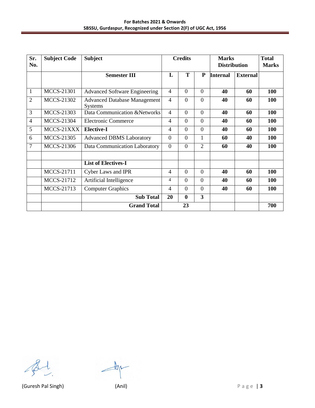| Sr.<br>No.     | <b>Subject Code</b> | <b>Subject</b>                                        | <b>Credits</b> |                | <b>Marks</b><br><b>Distribution</b> |                 | <b>Total</b><br><b>Marks</b> |     |
|----------------|---------------------|-------------------------------------------------------|----------------|----------------|-------------------------------------|-----------------|------------------------------|-----|
|                |                     | <b>Semester III</b>                                   | L              | T              | ${\bf P}$                           | <b>Internal</b> | <b>External</b>              |     |
| $\mathbf{1}$   | <b>MCCS-21301</b>   | <b>Advanced Software Engineering</b>                  | $\overline{4}$ | $\overline{0}$ | $\overline{0}$                      | 40              | 60                           | 100 |
| $\overline{2}$ | <b>MCCS-21302</b>   | <b>Advanced Database Management</b><br><b>Systems</b> | $\overline{4}$ | $\Omega$       | $\Omega$                            | 40              | 60                           | 100 |
| 3              | <b>MCCS-21303</b>   | Data Communication & Networks                         | $\overline{4}$ | $\overline{0}$ | $\overline{0}$                      | 40              | 60                           | 100 |
| $\overline{4}$ | <b>MCCS-21304</b>   | <b>Electronic Commerce</b>                            | $\overline{4}$ | $\overline{0}$ | $\Omega$                            | 40              | 60                           | 100 |
| $\overline{5}$ | MCCS-21XXX          | <b>Elective-I</b>                                     | $\overline{4}$ | $\overline{0}$ | $\overline{0}$                      | 40              | 60                           | 100 |
| 6              | <b>MCCS-21305</b>   | <b>Advanced DBMS Laboratory</b>                       | $\overline{0}$ | $\overline{0}$ | 1                                   | 60              | 40                           | 100 |
| 7              | <b>MCCS-21306</b>   | Data Communication Laboratory                         | $\overline{0}$ | $\overline{0}$ | $\overline{2}$                      | 60              | 40                           | 100 |
|                |                     | <b>List of Electives-I</b>                            |                |                |                                     |                 |                              |     |
|                | <b>MCCS-21711</b>   | Cyber Laws and IPR                                    | $\overline{4}$ | $\overline{0}$ | $\overline{0}$                      | 40              | 60                           | 100 |
|                | <b>MCCS-21712</b>   | Artificial Intelligence                               | $\overline{4}$ | $\overline{0}$ | $\theta$                            | 40              | 60                           | 100 |
|                | MCCS-21713          | <b>Computer Graphics</b>                              | $\overline{4}$ | $\theta$       | $\theta$                            | 40              | 60                           | 100 |
|                |                     | <b>Sub Total</b>                                      | 20             | $\bf{0}$       | $\overline{\mathbf{3}}$             |                 |                              |     |
|                |                     | <b>Grand Total</b>                                    |                | 23             |                                     |                 |                              | 700 |

 $\#$ 

(Guresh Pal Singh) (Anil) P a g e | **3**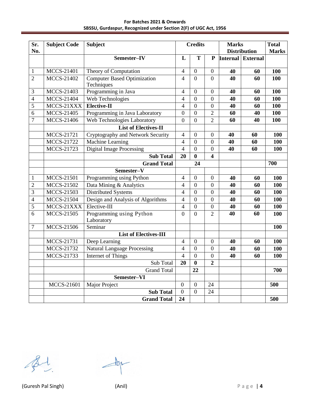**For Batches 2021 & Onwards SBSSU, Gurdaspur, Recognized under Section 2(F) of UGC Act, 1956**

| Sr.<br>No.     | <b>Subject Code</b> | <b>Subject</b>                     | <b>Credits</b>   |                  | <b>Marks</b><br><b>Distribution</b> |    | <b>Total</b><br><b>Marks</b> |            |
|----------------|---------------------|------------------------------------|------------------|------------------|-------------------------------------|----|------------------------------|------------|
|                |                     |                                    | L                | T                | P                                   |    | <b>Internal External</b>     |            |
|                |                     | Semester-IV                        |                  |                  |                                     |    |                              |            |
| $\mathbf{1}$   | <b>MCCS-21401</b>   | Theory of Computation              | $\overline{4}$   | $\boldsymbol{0}$ | $\boldsymbol{0}$                    | 40 | 60                           | 100        |
| $\overline{2}$ | <b>MCCS-21402</b>   | <b>Computer Based Optimization</b> | $\overline{4}$   | $\overline{0}$   | $\overline{0}$                      | 40 | 60                           | 100        |
|                |                     | Techniques                         |                  |                  |                                     |    |                              |            |
| $\mathfrak{Z}$ | MCCS-21403          | Programming in Java                | $\overline{4}$   | $\boldsymbol{0}$ | $\boldsymbol{0}$                    | 40 | 60                           | 100        |
| $\overline{4}$ | <b>MCCS-21404</b>   | Web Technologies                   | $\overline{4}$   | $\overline{0}$   | $\overline{0}$                      | 40 | 60                           | 100        |
| 5              | MCCS-21XXX          | Elective-II                        | $\overline{4}$   | $\boldsymbol{0}$ | $\overline{0}$                      | 40 | 60                           | 100        |
| 6              | MCCS-21405          | Programming in Java Laboratory     | $\overline{0}$   | $\boldsymbol{0}$ | $\overline{2}$                      | 60 | 40                           | 100        |
| $\overline{7}$ | <b>MCCS-21406</b>   | <b>Web Technologies Laboratory</b> | $\overline{0}$   | $\boldsymbol{0}$ | $\overline{2}$                      | 60 | 40                           | <b>100</b> |
|                |                     | <b>List of Electives-II</b>        |                  |                  |                                     |    |                              |            |
|                | <b>MCCS-21721</b>   | Cryptography and Network Security  | $\overline{4}$   | $\boldsymbol{0}$ | $\boldsymbol{0}$                    | 40 | 60                           | 100        |
|                | <b>MCCS-21722</b>   | <b>Machine Learning</b>            | 4                | $\boldsymbol{0}$ | $\overline{0}$                      | 40 | 60                           | 100        |
|                | <b>MCCS-21723</b>   | <b>Digital Image Processing</b>    | $\overline{4}$   | $\boldsymbol{0}$ | $\boldsymbol{0}$                    | 40 | 60                           | 100        |
|                |                     | <b>Sub Total</b>                   | 20               | $\bf{0}$         | $\overline{\mathbf{4}}$             |    |                              |            |
|                |                     | <b>Grand Total</b>                 |                  | 24               |                                     |    |                              | 700        |
|                |                     | Semester-V                         |                  |                  |                                     |    |                              |            |
| $\mathbf{1}$   | <b>MCCS-21501</b>   | Programming using Python           | $\overline{4}$   | $\boldsymbol{0}$ | $\boldsymbol{0}$                    | 40 | 60                           | 100        |
| $\overline{2}$ | <b>MCCS-21502</b>   | Data Mining & Analytics            | $\overline{4}$   | $\boldsymbol{0}$ | $\overline{0}$                      | 40 | 60                           | 100        |
| 3              | MCCS-21503          | Distributed Systems                | $\overline{4}$   | $\overline{0}$   | $\overline{0}$                      | 40 | 60                           | 100        |
| $\overline{4}$ | <b>MCCS-21504</b>   | Design and Analysis of Algorithms  | $\overline{4}$   | $\boldsymbol{0}$ | $\overline{0}$                      | 40 | 60                           | 100        |
| 5              | MCCS-21XXX          | Elective-III                       | $\overline{4}$   | $\overline{0}$   | $\overline{0}$                      | 40 | 60                           | 100        |
| 6              | <b>MCCS-21505</b>   | Programming using Python           | $\overline{0}$   | $\overline{0}$   | $\overline{2}$                      | 40 | 60                           | 100        |
|                |                     | Laboratory                         |                  |                  |                                     |    |                              |            |
| $\overline{7}$ | <b>MCCS-21506</b>   | Seminar                            |                  |                  |                                     |    |                              | 100        |
|                |                     | <b>List of Electives-III</b>       |                  |                  |                                     |    |                              |            |
|                | MCCS-21731          | Deep Learning                      | $\overline{4}$   | $\boldsymbol{0}$ | $\boldsymbol{0}$                    | 40 | 60                           | 100        |
|                | MCCS-21732          | <b>Natural Language Processing</b> | $\overline{4}$   | $\boldsymbol{0}$ | $\boldsymbol{0}$                    | 40 | 60                           | 100        |
|                | <b>MCCS-21733</b>   | Internet of Things                 | $\overline{4}$   | $\overline{0}$   | $\overline{0}$                      | 40 | 60                           | 100        |
|                |                     | Sub Total                          | 20               | $\bf{0}$         | $\overline{2}$                      |    |                              |            |
|                |                     | <b>Grand Total</b>                 |                  | 22               |                                     |    |                              | 700        |
|                |                     | Semester-VI                        |                  |                  |                                     |    |                              |            |
|                | <b>MCCS-21601</b>   | Major Project                      | $\boldsymbol{0}$ | $\boldsymbol{0}$ | 24                                  |    |                              | 500        |
|                |                     | <b>Sub Total</b>                   | $\overline{0}$   | $\overline{0}$   | 24                                  |    |                              |            |
|                |                     | <b>Grand Total</b>                 | 24               |                  |                                     |    |                              | 500        |

 $\pm$ 18

(Guresh Pal Singh) (Anil) P a g e | **4**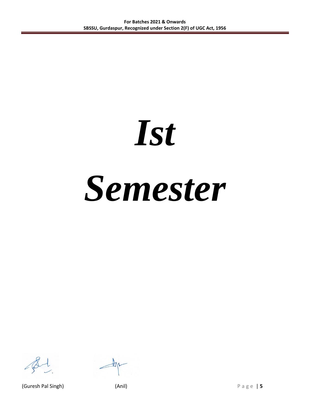# *Ist Semester*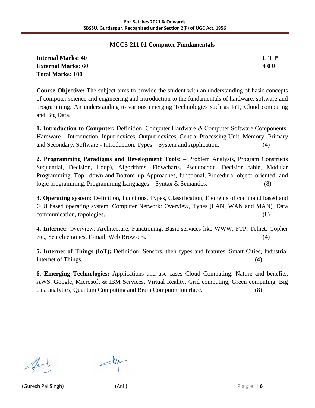#### **MCCS-211 01 Computer Fundamentals**

| <b>Internal Marks: 40</b> | <b>LTP</b> |
|---------------------------|------------|
| <b>External Marks: 60</b> | <b>400</b> |
| Total Marks: 100          |            |

**Course Objective:** The subject aims to provide the student with an understanding of basic concepts of computer science and engineering and introduction to the fundamentals of hardware, software and programming. An understanding to various emerging Technologies such as IoT, Cloud computing and Big Data.

**1. Introduction to Computer:** Definition, Computer Hardware & Computer Software Components: Hardware – Introduction, Input devices, Output devices, Central Processing Unit, Memory- Primary and Secondary. Software - Introduction, Types – System and Application. (4)

**2. Programming Paradigms and Development Tools**: – Problem Analysis, Program Constructs Sequential, Decision, Loop), Algorithms, Flowcharts, Pseudocode. Decision table, Modular Programming, Top– down and Bottom–up Approaches, functional, Procedural object–oriented, and logic programming, Programming Languages – Syntax & Semantics. (8)

**3. Operating system:** Definition, Functions, Types, Classification, Elements of command based and GUI based operating system. Computer Network: Overview, Types (LAN, WAN and MAN), Data communication, topologies. (8)

**4. Internet:** Overview, Architecture, Functioning, Basic services like WWW, FTP, Telnet, Gopher etc., Search engines, E-mail, Web Browsers. (4)

**5. Internet of Things (IoT):** Definition, Sensors, their types and features, Smart Cities, Industrial Internet of Things. (4)

**6. Emerging Technologies:** Applications and use cases Cloud Computing: Nature and benefits, AWS, Google, Microsoft & IBM Services, Virtual Reality, Grid computing, Green computing, Big data analytics, Quantum Computing and Brain Computer Interface. (8)

(Guresh Pal Singh) (Anil) P a g e | **6**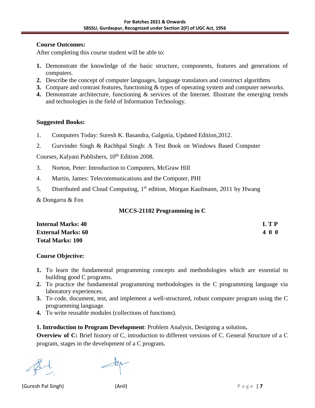#### **Course Outcomes:**

After completing this course student will be able to:

- **1.** Demonstrate the knowledge of the basic structure, components, features and generations of computers.
- **2.** Describe the concept of computer languages, language translators and construct algorithms
- **3.** Compare and contrast features, functioning & types of operating system and computer networks.
- **4.** Demonstrate architecture, functioning & services of the Internet. Illustrate the emerging trends and technologies in the field of Information Technology.

#### **Suggested Books:**

- 1. Computers Today: Suresh K. Basandra, Galgotia, Updated Edition,2012.
- 2. Gurvinder Singh & Rachhpal Singh: A Test Book on Windows Based Computer

Courses, Kalyani Publishers, 10<sup>th</sup> Edition 2008.

- 3. Norton, Peter: Introduction to Computers, McGraw Hill
- 4. Martin, James: Telecommunications and the Computer, PHI
- 5. Distributed and Cloud Computing, 1<sup>st</sup> edition, Morgan Kaufmann, 2011 by Hwang

& Dongarra & Fox

#### **MCCS-21102 Programming in C**

| <b>Internal Marks: 40</b> | LTP |
|---------------------------|-----|
| <b>External Marks: 60</b> | 400 |
| <b>Total Marks: 100</b>   |     |

#### **Course Objective:**

- **1.** To learn the fundamental programming concepts and methodologies which are essential to building good C programs.
- **2.** To practice the fundamental programming methodologies in the C programming language via laboratory experiences.
- **3.** To code, document, test, and implement a well-structured, robust computer program using the C programming language.
- **4.** To write reusable modules (collections of functions).

**1. Introduction to Program Development**: Problem Analysis, Designing a solution**.** 

**Overview of C:** Brief history of C, introduction to different versions of C. General Structure of a C program, stages in the development of a C program**.** 

(Guresh Pal Singh) (Anil) P a g e | **7**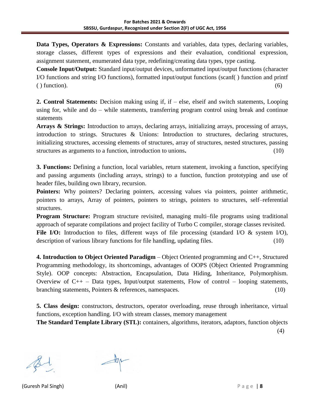**Data Types, Operators & Expressions:** Constants and variables, data types, declaring variables, storage classes, different types of expressions and their evaluation, conditional expression, assignment statement, enumerated data type, redefining/creating data types, type casting.

**Console Input/Output:** Standard input/output devices, unformatted input/output functions (character I/O functions and string I/O functions), formatted input/output functions (scanf( ) function and printf  $($ ) function). (6)

**2. Control Statements:** Decision making using if, if – else, elseif and switch statements, Looping using for, while and do – while statements, transferring program control using break and continue statements

**Arrays & Strings:** Introduction to arrays, declaring arrays, initializing arrays, processing of arrays, introduction to strings. Structures & Unions: Introduction to structures, declaring structures, initializing structures, accessing elements of structures, array of structures, nested structures, passing structures as arguments to a function, introduction to unions**.** (10)

**3. Functions:** Defining a function, local variables, return statement, invoking a function, specifying and passing arguments (including arrays, strings) to a function, function prototyping and use of header files, building own library, recursion.

Pointers: Why pointers? Declaring pointers, accessing values via pointers, pointer arithmetic, pointers to arrays, Array of pointers, pointers to strings, pointers to structures, self–referential structures.

**Program Structure:** Program structure revisited, managing multi-file programs using traditional approach of separate compilations and project facility of Turbo C compiler, storage classes revisited. File I/O: Introduction to files, different ways of file processing (standard I/O & system I/O), description of various library functions for file handling, updating files. (10)

**4. Introduction to Object Oriented Paradigm** – Object Oriented programming and C++, Structured Programming methodology, its shortcomings, advantages of OOPS (Object Oriented Programming Style). OOP concepts: Abstraction, Encapsulation, Data Hiding, Inheritance, Polymorphism. Overview of  $C_{++}$  – Data types, Input/output statements, Flow of control – looping statements, branching statements, Pointers & references, namespaces. (10)

**5. Class design:** constructors, destructors, operator overloading, reuse through inheritance, virtual functions, exception handling. I/O with stream classes, memory management

**The Standard Template Library (STL):** containers, algorithms, iterators, adaptors, function objects (4)

(Guresh Pal Singh) (Anil) P a g e | **8**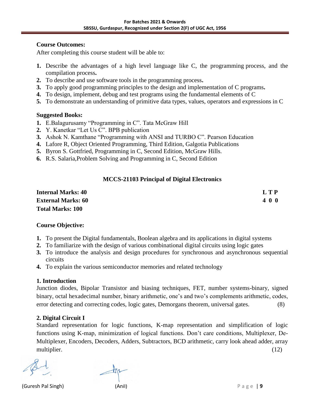#### **Course Outcomes:**

After completing this course student will be able to:

- **1.** Describe the advantages of a high level language like C, the programming process, and the compilation process**.**
- **2.** To describe and use software tools in the programming process**.**
- **3.** To apply good programming principles to the design and implementation of C programs**.**
- **4.** To design, implement, debug and test programs using the fundamental elements of C
- **5.** To demonstrate an understanding of primitive data types, values, operators and expressions in C

#### **Suggested Books:**

- **1.** E.Balagurusamy "Programming in C". Tata McGraw Hill
- **2.** Y. Kanetkar "Let Us C". BPB publication
- **3.** Ashok N. Kamthane "Programming with ANSI and TURBO C". Pearson Education
- **4.** Lafore R, Object Oriented Programming, Third Edition, Galgotia Publications
- **5.** Byron S. Gottfried, Programming in C, Second Edition, McGraw Hills.
- **6.** R.S. Salaria,Problem Solving and Programming in C, Second Edition

#### **MCCS-21103 Principal of Digital Electronics**

| <b>Internal Marks: 40</b> | LTP |
|---------------------------|-----|
| <b>External Marks: 60</b> | 400 |
| <b>Total Marks: 100</b>   |     |

#### **Course Objective:**

- **1.** To present the Digital fundamentals, Boolean algebra and its applications in digital systems
- **2.** To familiarize with the design of various combinational digital circuits using logic gates
- **3.** To introduce the analysis and design procedures for synchronous and asynchronous sequential circuits
- **4.** To explain the various semiconductor memories and related technology

#### **1. Introduction**

Junction diodes, Bipolar Transistor and biasing techniques, FET, number systems-binary, signed binary, octal hexadecimal number, binary arithmetic, one's and two's complements arithmetic, codes, error detecting and correcting codes, logic gates, Demorgans theorem, universal gates. (8)

#### **2. Digital Circuit I**

Standard representation for logic functions, K-map representation and simplification of logic functions using K-map, minimization of logical functions. Don't care conditions, Multiplexer, De-Multiplexer, Encoders, Decoders, Adders, Subtractors, BCD arithmetic, carry look ahead adder, array multiplier. (12)

(Guresh Pal Singh) (Anil) P a g e | **9**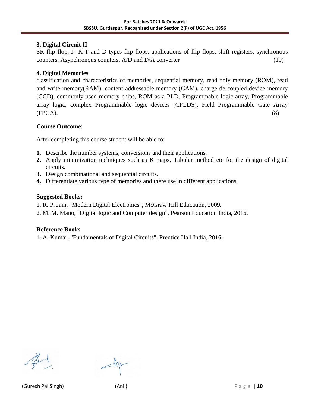#### **3. Digital Circuit II**

SR flip flop, J- K-T and D types flip flops, applications of flip flops, shift registers, synchronous counters, Asynchronous counters, A/D and D/A converter (10)

#### **4. Digital Memories**

classification and characteristics of memories, sequential memory, read only memory (ROM), read and write memory(RAM), content addressable memory (CAM), charge de coupled device memory (CCD), commonly used memory chips, ROM as a PLD, Programmable logic array, Programmable array logic, complex Programmable logic devices (CPLDS), Field Programmable Gate Array  $(FPGA).$  (8)

#### **Course Outcome:**

After completing this course student will be able to:

- **1.** Describe the number systems, conversions and their applications.
- **2.** Apply minimization techniques such as K maps, Tabular method etc for the design of digital circuits.
- **3.** Design combinational and sequential circuits.
- **4.** Differentiate various type of memories and there use in different applications.

#### **Suggested Books:**

- 1. R. P. Jain, "Modern Digital Electronics", McGraw Hill Education, 2009.
- 2. M. M. Mano, "Digital logic and Computer design", Pearson Education India, 2016.

#### **Reference Books**

1. A. Kumar, "Fundamentals of Digital Circuits", Prentice Hall India, 2016.

(Guresh Pal Singh) (Anil) P a g e | **10**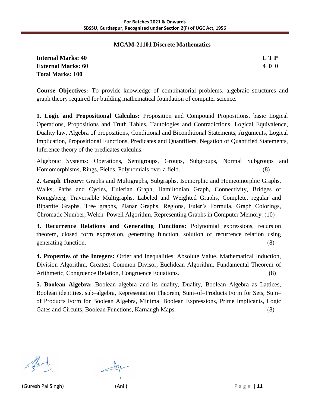#### **MCAM-21101 Discrete Mathematics**

| <b>Internal Marks: 40</b> | LTP |
|---------------------------|-----|
| <b>External Marks: 60</b> | 400 |
| <b>Total Marks: 100</b>   |     |

**Course Objectives:** To provide knowledge of combinatorial problems, algebraic structures and graph theory required for building mathematical foundation of computer science.

**1. Logic and Propositional Calculus:** Proposition and Compound Propositions, basic Logical Operations, Propositions and Truth Tables, Tautologies and Contradictions, Logical Equivalence, Duality law, Algebra of propositions, Conditional and Biconditional Statements, Arguments, Logical Implication, Propositional Functions, Predicates and Quantifiers, Negation of Quantified Statements, Inference theory of the predicates calculus.

Algebraic Systems: Operations, Semigroups, Groups, Subgroups, Normal Subgroups and Homomorphisms, Rings, Fields, Polynomials over a field. (8)

**2. Graph Theory:** Graphs and Multigraphs, Subgraphs, Isomorphic and Homeomorphic Graphs, Walks, Paths and Cycles, Eulerian Graph, Hamiltonian Graph, Connectivity, Bridges of Konigsberg, Traversable Multigraphs, Labeled and Weighted Graphs, Complete, regular and Bipartite Graphs, Tree graphs, Planar Graphs, Regions, Euler's Formula, Graph Colorings, Chromatic Number, Welch–Powell Algorithm, Representing Graphs in Computer Memory. (10)

**3. Recurrence Relations and Generating Functions:** Polynomial expressions, recursion theorem, closed form expression, generating function, solution of recurrence relation using generating function. (8)

**4. Properties of the Integers:** Order and Inequalities, Absolute Value, Mathematical Induction, Division Algorithm, Greatest Common Divisor, Euclidean Algorithm, Fundamental Theorem of Arithmetic, Congruence Relation, Congruence Equations. (8)

**5. Boolean Algebra:** Boolean algebra and its duality, Duality, Boolean Algebra as Lattices, Boolean identities, sub–algebra, Representation Theorem, Sum–of–Products Form for Sets, Sum– of Products Form for Boolean Algebra, Minimal Boolean Expressions, Prime Implicants, Logic Gates and Circuits, Boolean Functions, Karnaugh Maps. (8)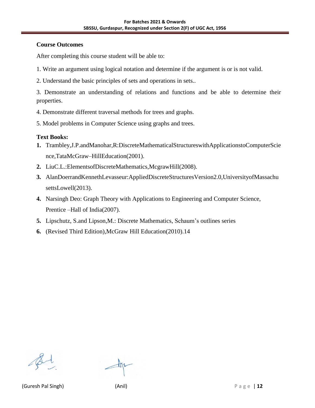#### **Course Outcomes**

After completing this course student will be able to:

- 1. Write an argument using logical notation and determine if the argument is or is not valid.
- 2. Understand the basic principles of sets and operations in sets..

3. Demonstrate an understanding of relations and functions and be able to determine their properties.

- 4. Demonstrate different traversal methods for trees and graphs.
- 5. Model problems in Computer Science using graphs and trees.

#### **Text Books:**

- **1.** Trambley,J.P.andManohar,R:DiscreteMathematicalStructureswithApplicationstoComputerScie nce,TataMcGraw–HillEducation(2001).
- **2.** LiuC.L.:ElementsofDiscreteMathematics,McgrawHill(2008).
- **3.** AlanDoerrandKennethLevasseur:AppliedDiscreteStructuresVersion2.0,UniversityofMassachu settsLowell(2013).
- **4.** Narsingh Deo: Graph Theory with Applications to Engineering and Computer Science, Prentice –Hall of India(2007).
- **5.** Lipschutz, S.and Lipson,M.: Discrete Mathematics, Schaum's outlines series
- **6.** (Revised Third Edition),McGraw Hill Education(2010).14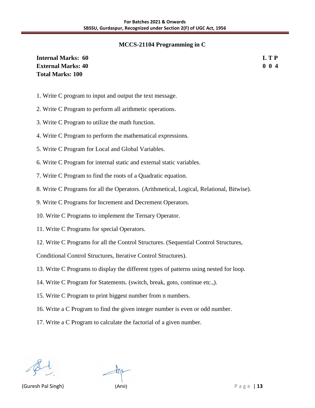#### **MCCS-21104 Programming in C**

| <b>Internal Marks: 60</b> | <b>LTP</b> |
|---------------------------|------------|
| <b>External Marks: 40</b> | 004        |
| <b>Total Marks: 100</b>   |            |

- 1. Write C program to input and output the text message.
- 2. Write C Program to perform all arithmetic operations.
- 3. Write C Program to utilize the math function.
- 4. Write C Program to perform the mathematical expressions.
- 5. Write C Program for Local and Global Variables.
- 6. Write C Program for internal static and external static variables.
- 7. Write C Program to find the roots of a Quadratic equation.
- 8. Write C Programs for all the Operators. (Arithmetical, Logical, Relational, Bitwise).
- 9. Write C Programs for Increment and Decrement Operators.
- 10. Write C Programs to implement the Ternary Operator.
- 11. Write C Programs for special Operators.
- 12. Write C Programs for all the Control Structures. (Sequential Control Structures,

Conditional Control Structures, Iterative Control Structures).

- 13. Write C Programs to display the different types of patterns using nested for loop.
- 14. Write C Program for Statements. (switch, break, goto, continue etc.,).
- 15. Write C Program to print biggest number from n numbers.
- 16. Write a C Program to find the given integer number is even or odd number.
- 17. Write a C Program to calculate the factorial of a given number.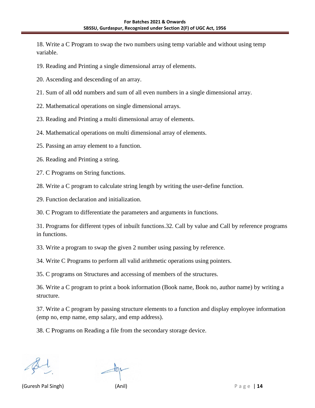18. Write a C Program to swap the two numbers using temp variable and without using temp variable.

19. Reading and Printing a single dimensional array of elements.

- 20. Ascending and descending of an array.
- 21. Sum of all odd numbers and sum of all even numbers in a single dimensional array.
- 22. Mathematical operations on single dimensional arrays.
- 23. Reading and Printing a multi dimensional array of elements.
- 24. Mathematical operations on multi dimensional array of elements.
- 25. Passing an array element to a function.
- 26. Reading and Printing a string.
- 27. C Programs on String functions.
- 28. Write a C program to calculate string length by writing the user-define function.
- 29. Function declaration and initialization.

30. C Program to differentiate the parameters and arguments in functions.

31. Programs for different types of inbuilt functions.32. Call by value and Call by reference programs in functions.

33. Write a program to swap the given 2 number using passing by reference.

34. Write C Programs to perform all valid arithmetic operations using pointers.

35. C programs on Structures and accessing of members of the structures.

36. Write a C program to print a book information (Book name, Book no, author name) by writing a structure.

37. Write a C program by passing structure elements to a function and display employee information (emp no, emp name, emp salary, and emp address).

38. C Programs on Reading a file from the secondary storage device.

(Guresh Pal Singh) (Anil) P a g e | **14**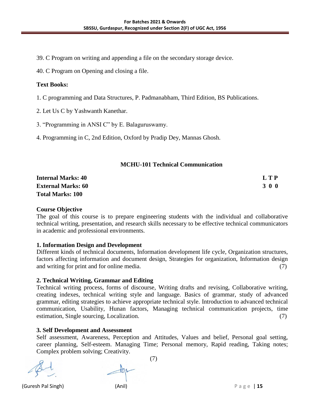39. C Program on writing and appending a file on the secondary storage device.

40. C Program on Opening and closing a file.

#### **Text Books:**

- 1. C programming and Data Structures, P. Padmanabham, Third Edition, BS Publications.
- 2. Let Us C by Yashwanth Kanethar.
- 3. "Programming in ANSI C" by E. Balaguruswamy.
- 4. Programming in C, 2nd Edition, Oxford by Pradip Dey, Mannas Ghosh.

#### **MCHU-101 Technical Communication**

| <b>Internal Marks: 40</b> | L T P |
|---------------------------|-------|
| <b>External Marks: 60</b> | 3 0 0 |
| <b>Total Marks: 100</b>   |       |

#### **Course Objective**

The goal of this course is to prepare engineering students with the individual and collaborative technical writing, presentation, and research skills necessary to be effective technical communicators in academic and professional environments.

#### **1. Information Design and Development**

Different kinds of technical documents, Information development life cycle, Organization structures, factors affecting information and document design, Strategies for organization, Information design and writing for print and for online media. (7)

#### **2. Technical Writing, Grammar and Editing**

Technical writing process, forms of discourse, Writing drafts and revising, Collaborative writing, creating indexes, technical writing style and language. Basics of grammar, study of advanced grammar, editing strategies to achieve appropriate technical style. Introduction to advanced technical communication, Usability, Hunan factors, Managing technical communication projects, time estimation, Single sourcing, Localization. (7)

#### **3. Self Development and Assessment**

Self assessment, Awareness, Perception and Attitudes, Values and belief, Personal goal setting, career planning, Self-esteem. Managing Time; Personal memory, Rapid reading, Taking notes; Complex problem solving; Creativity.

(7)

(Guresh Pal Singh) (Anil) P a g e | **15**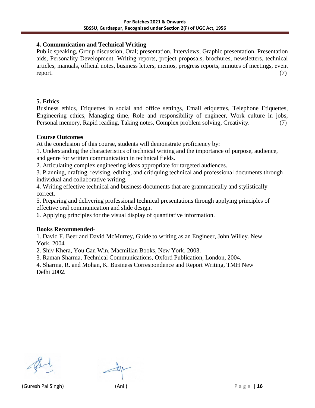#### **4. Communication and Technical Writing**

Public speaking, Group discussion, Oral; presentation, Interviews, Graphic presentation, Presentation aids, Personality Development. Writing reports, project proposals, brochures, newsletters, technical articles, manuals, official notes, business letters, memos, progress reports, minutes of meetings, event report. (7)

#### **5. Ethics**

Business ethics, Etiquettes in social and office settings, Email etiquettes, Telephone Etiquettes, Engineering ethics, Managing time, Role and responsibility of engineer, Work culture in jobs, Personal memory, Rapid reading, Taking notes, Complex problem solving, Creativity. (7)

#### **Course Outcomes**

At the conclusion of this course, students will demonstrate proficiency by:

1. Understanding the characteristics of technical writing and the importance of purpose, audience,

and genre for written communication in technical fields.

2. Articulating complex engineering ideas appropriate for targeted audiences.

3. Planning, drafting, revising, editing, and critiquing technical and professional documents through individual and collaborative writing.

4. Writing effective technical and business documents that are grammatically and stylistically correct.

5. Preparing and delivering professional technical presentations through applying principles of effective oral communication and slide design.

6. Applying principles for the visual display of quantitative information.

#### **Books Recommended**-

1. David F. Beer and David McMurrey, Guide to writing as an Engineer, John Willey. New York, 2004

2. Shiv Khera, You Can Win, Macmillan Books, New York, 2003.

3. Raman Sharma, Technical Communications, Oxford Publication, London, 2004.

4. Sharma, R. and Mohan, K. Business Correspondence and Report Writing, TMH New Delhi 2002.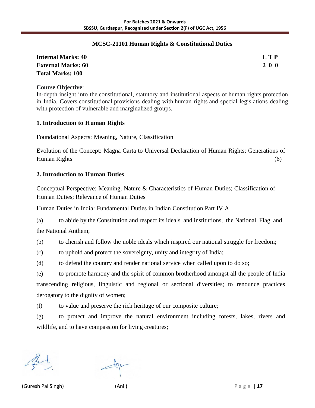#### **MCSC-21101 Human Rights & Constitutional Duties**

| <b>Internal Marks: 40</b> | L T P      |
|---------------------------|------------|
| <b>External Marks: 60</b> | <b>200</b> |
| <b>Total Marks: 100</b>   |            |

#### **Course Objective**:

In-depth insight into the constitutional, statutory and institutional aspects of human rights protection in India. Covers constitutional provisions dealing with human rights and special legislations dealing with protection of vulnerable and marginalized groups.

#### **1. Introduction to Human Rights**

Foundational Aspects: Meaning, Nature, Classification

Evolution of the Concept: Magna Carta to Universal Declaration of Human Rights; Generations of Human Rights (6)

#### **2. Introduction to Human Duties**

Conceptual Perspective: Meaning, Nature & Characteristics of Human Duties; Classification of Human Duties; Relevance of Human Duties

Human Duties in India: Fundamental Duties in Indian Constitution Part IV A

(a) to abide by the Constitution and respect its ideals and institutions, the National Flag and the National Anthem;

(b) to cherish and follow the noble ideals which inspired our national struggle for freedom;

(c) to uphold and protect the sovereignty, unity and integrity of India;

(d) to defend the country and render national service when called upon to do so;

(e) to promote harmony and the spirit of common brotherhood amongst all the people of India transcending religious, linguistic and regional or sectional diversities; to renounce practices derogatory to the dignity of women;

(f) to value and preserve the rich heritage of our composite culture;

(g) to protect and improve the natural environment including forests, lakes, rivers and wildlife, and to have compassion for living creatures;

(Guresh Pal Singh) (Anil) P a g e | **17**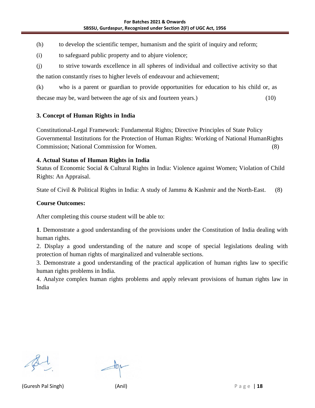(h) to develop the scientific temper, humanism and the spirit of inquiry and reform;

(i) to safeguard public property and to abjure violence;

(j) to strive towards excellence in all spheres of individual and collective activity so that the nation constantly rises to higher levels of endeavour and achievement;

(k) who is a parent or guardian to provide opportunities for education to his child or, as thecase may be, ward between the age of six and fourteen years.) (10)

#### **3. Concept of Human Rights in India**

Constitutional-Legal Framework: Fundamental Rights; Directive Principles of State Policy Governmental Institutions for the Protection of Human Rights: Working of National HumanRights Commission; National Commission for Women. (8)

#### **4. Actual Status of Human Rights in India**

Status of Economic Social & Cultural Rights in India: Violence against Women; Violation of Child Rights: An Appraisal.

State of Civil & Political Rights in India: A study of Jammu & Kashmir and the North-East. (8)

#### **Course Outcomes:**

After completing this course student will be able to:

**1**. Demonstrate a good understanding of the provisions under the Constitution of India dealing with human rights.

2. Display a good understanding of the nature and scope of special legislations dealing with protection of human rights of marginalized and vulnerable sections.

3. Demonstrate a good understanding of the practical application of human rights law to specific human rights problems in India.

4. Analyze complex human rights problems and apply relevant provisions of human rights law in India

(Guresh Pal Singh) (Anil) P a g e | **18**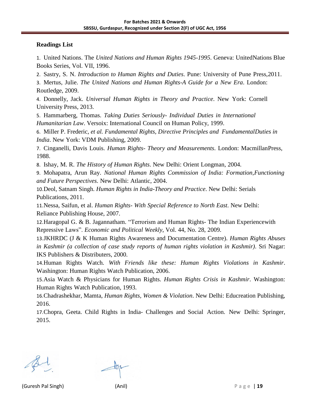#### **Readings List**

1. United Nations. The *United Nations and Human Rights 1945-1995*. Geneva: UnitedNations Blue Books Series, Vol. VII, 1996.

2. Sastry, S. N. *Introduction to Human Rights and Duties*. Pune: University of Pune Press,2011.

3. Mertus, Julie. *The United Nations and Human Rights-A Guide for a New Era*. London: Routledge, 2009.

4. Donnelly, Jack. *Universal Human Rights in Theory and Practice*. New York: Cornell University Press, 2013.

5. Hammarberg, Thomas. *Taking Duties Seriously- Individual Duties in International Humanitarian Law*. Versoix: International Council on Human Policy, 1999.

6. Miller P. Frederic, *et al. Fundamental Rights, Directive Principles and FundamentalDuties in India*. New York: VDM Publishing, 2009.

7. Cinganelli, Davis Louis. *Human Rights- Theory and Measurements*. London: MacmillanPress, 1988.

8. Ishay, M. R. *The History of Human Rights*. New Delhi: Orient Longman, 2004.

9. Mohapatra, Arun Ray. *National Human Rights Commission of India: Formation,Functioning and Future Perspectives*. New Delhi: Atlantic, 2004.

10.Deol, Satnam Singh. *Human Rights in India-Theory and Practice*. New Delhi: Serials Publications, 2011.

11.Nessa, Saifun, et al. *Human Rights- With Special Reference to North East*. New Delhi: Reliance Publishing House, 2007.

12.Haragopal G. & B. Jagannatham. "Terrorism and Human Rights- The Indian Experiencewith Repressive Laws". *Economic and Political Weekly*, Vol. 44, No. 28, 2009.

13.JKHRDC (J & K Human Rights Awareness and Documentation Centre). *Human Rights Abuses in Kashmir (a collection of case study reports of human rights violation in Kashmir)*. Sri Nagar: IKS Publishers & Distributers, 2000.

14.Human Rights Watch. *With Friends like these: Human Rights Violations in Kashmir*. Washington: Human Rights Watch Publication, 2006.

15.Asia Watch & Physicians for Human Rights. *Human Rights Crisis in Kashmir*. Washington: Human Rights Watch Publication, 1993.

16.Chadrashekhar, Mamta, *Human Rights, Women & Violation*. New Delhi: Educreation Publishing, 2016.

17.Chopra, Geeta. Child Rights in India- Challenges and Social Action. New Delhi: Springer, 2015.

(Guresh Pal Singh) (Anil) P a g e | **19**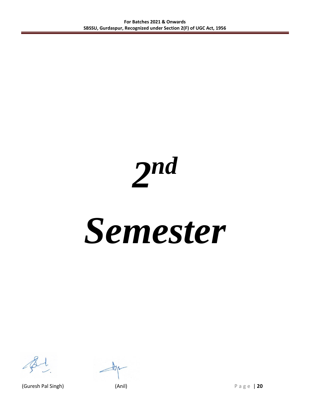*2 nd*

## *Semester*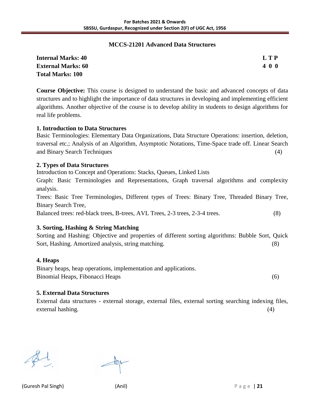#### **MCCS-21201 Advanced Data Structures**

| <b>Internal Marks: 40</b> | LTP |
|---------------------------|-----|
| <b>External Marks: 60</b> | 400 |
| <b>Total Marks: 100</b>   |     |

**Course Objective:** This course is designed to understand the basic and advanced concepts of data structures and to highlight the importance of data structures in developing and implementing efficient algorithms. Another objective of the course is to develop ability in students to design algorithms for real life problems.

#### **1. Introduction to Data Structures**

Basic Terminologies: Elementary Data Organizations, Data Structure Operations: insertion, deletion, traversal etc.; Analysis of an Algorithm, Asymptotic Notations, Time-Space trade off. Linear Search and Binary Search Techniques (4)

#### **2. Types of Data Structures**

Introduction to Concept and Operations: Stacks, Queues, Linked Lists

Graph: Basic Terminologies and Representations, Graph traversal algorithms and complexity analysis.

Trees: Basic Tree Terminologies, Different types of Trees: Binary Tree, Threaded Binary Tree, Binary Search Tree,

Balanced trees: red-black trees, B-trees, AVL Trees, 2-3 trees, 2-3-4 trees. (8)

#### **3. Sorting, Hashing & String Matching**

Sorting and Hashing: Objective and properties of different sorting algorithms: Bubble Sort, Quick Sort, Hashing. Amortized analysis, string matching. (8)

#### **4. Heaps**

Binary heaps, heap operations, implementation and applications. Binomial Heaps, Fibonacci Heaps (6)

#### **5. External Data Structures**

External data structures - external storage, external files, external sorting searching indexing files, external hashing. (4)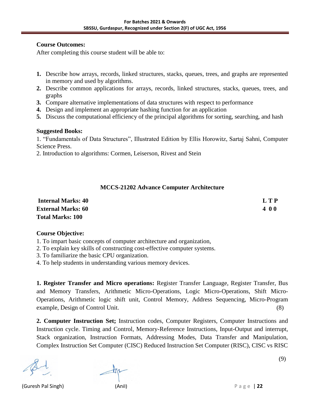#### **Course Outcomes:**

After completing this course student will be able to:

- **1.** Describe how arrays, records, linked structures, stacks, queues, trees, and graphs are represented in memory and used by algorithms.
- **2.** Describe common applications for arrays, records, linked structures, stacks, queues, trees, and graphs
- **3.** Compare alternative implementations of data structures with respect to performance
- **4.** Design and implement an appropriate hashing function for an application
- **5.** Discuss the computational efficiency of the principal algorithms for sorting, searching, and hash

#### **Suggested Books:**

1. "Fundamentals of Data Structures", Illustrated Edition by Ellis Horowitz, Sartaj Sahni, Computer Science Press.

2. Introduction to algorithms: Cormen, Leiserson, Rivest and Stein

#### **MCCS-21202 Advance Computer Architecture**

| <b>Internal Marks: 40</b> | <b>LTP</b> |
|---------------------------|------------|
| <b>External Marks: 60</b> | 400        |
| <b>Total Marks: 100</b>   |            |

#### **Course Objective:**

1. To impart basic concepts of computer architecture and organization,

2. To explain key skills of constructing cost-effective computer systems.

3. To familiarize the basic CPU organization.

4. To help students in understanding various memory devices.

**1. Register Transfer and Micro operations:** Register Transfer Language, Register Transfer, Bus and Memory Transfers, Arithmetic Micro-Operations, Logic Micro-Operations, Shift Micro-Operations, Arithmetic logic shift unit, Control Memory, Address Sequencing, Micro-Program example, Design of Control Unit. (8)

**2. Computer Instruction Set;** Instruction codes, Computer Registers, Computer Instructions and Instruction cycle. Timing and Control, Memory-Reference Instructions, Input-Output and interrupt, Stack organization, Instruction Formats, Addressing Modes, Data Transfer and Manipulation, Complex Instruction Set Computer (CISC) Reduced Instruction Set Computer (RISC), CISC vs RISC

(Guresh Pal Singh) (Anil) P a g e | **22**

(9)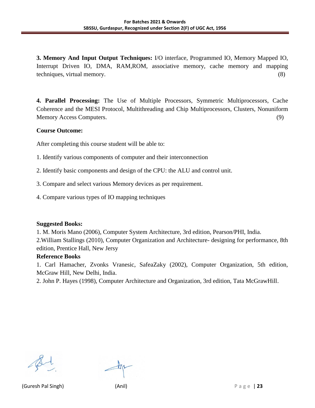**3. Memory And Input Output Techniques:** I/O interface, Programmed IO, Memory Mapped IO, Interrupt Driven IO, DMA, RAM,ROM, associative memory, cache memory and mapping techniques, virtual memory. (8)

**4. Parallel Processing:** The Use of Multiple Processors, Symmetric Multiprocessors, Cache Coherence and the MESI Protocol, Multithreading and Chip Multiprocessors, Clusters, Nonuniform Memory Access Computers. (9)

#### **Course Outcome:**

After completing this course student will be able to:

1. Identify various components of computer and their interconnection

2. Identify basic components and design of the CPU: the ALU and control unit.

- 3. Compare and select various Memory devices as per requirement.
- 4. Compare various types of IO mapping techniques

#### **Suggested Books:**

1. M. Moris Mano (2006), Computer System Architecture, 3rd edition, Pearson/PHI, India. 2.William Stallings (2010), Computer Organization and Architecture- designing for performance, 8th edition, Prentice Hall, New Jersy

#### **Reference Books**

1. Carl Hamacher, Zvonks Vranesic, SafeaZaky (2002), Computer Organization, 5th edition, McGraw Hill, New Delhi, India.

2. John P. Hayes (1998), Computer Architecture and Organization, 3rd edition, Tata McGrawHill.

(Guresh Pal Singh) (Anil) P a g e | **23**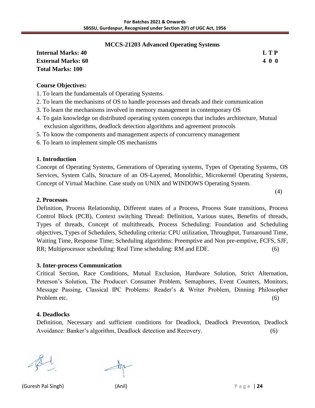#### **MCCS-21203 Advanced Operating Systems**

| <b>Internal Marks: 40</b> | <b>LTP</b> |
|---------------------------|------------|
| <b>External Marks: 60</b> | 400        |
| <b>Total Marks: 100</b>   |            |

|  | 0<br>I |
|--|--------|

(4)

#### **Course Objectives:**

- 1. To learn the fundamentals of Operating Systems.
- 2. To learn the mechanisms of OS to handle processes and threads and their communication
- 3. To learn the mechanisms involved in memory management in contemporary OS
- 4. To gain knowledge on distributed operating system concepts that includes architecture, Mutual exclusion algorithms, deadlock detection algorithms and agreement protocols
- 5. To know the components and management aspects of concurrency management
- 6. To learn to implement simple OS mechanisms

#### **1. Introduction**

Concept of Operating Systems, Generations of Operating systems, Types of Operating Systems, OS Services, System Calls, Structure of an OS-Layered, Monolithic, Microkernel Operating Systems, Concept of Virtual Machine. Case study on UNIX and WINDOWS Operating System.

#### **2. Processes**

Definition, Process Relationship, Different states of a Process, Process State transitions, Process Control Block (PCB), Context switching Thread: Definition, Various states, Benefits of threads, Types of threads, Concept of multithreads, Process Scheduling: Foundation and Scheduling objectives, Types of Schedulers, Scheduling criteria: CPU utilization, Throughput, Turnaround Time, Waiting Time, Response Time; Scheduling algorithms: Preemptive and Non pre-emptive, FCFS, SJF, RR; Multiprocessor scheduling: Real Time scheduling: RM and EDF. (6)

#### **3. Inter-process Communication**

Critical Section, Race Conditions, Mutual Exclusion, Hardware Solution, Strict Alternation, Peterson's Solution, The Producer\ Consumer Problem, Semaphores, Event Counters, Monitors, Message Passing, Classical IPC Problems: Reader's & Writer Problem, Dinning Philosopher Problem etc. (6)

#### **4. Deadlocks**

Definition, Necessary and sufficient conditions for Deadlock, Deadlock Prevention, Deadlock Avoidance: Banker's algorithm, Deadlock detection and Recovery. (6)

(Guresh Pal Singh) (Anil) P a g e | **24**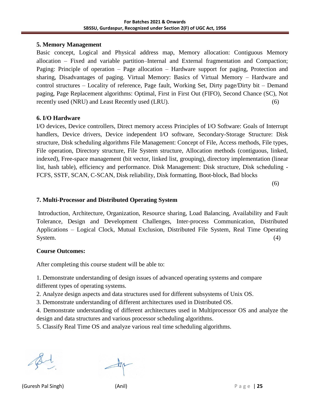#### **5. Memory Management**

Basic concept, Logical and Physical address map, Memory allocation: Contiguous Memory allocation – Fixed and variable partition–Internal and External fragmentation and Compaction; Paging: Principle of operation – Page allocation – Hardware support for paging, Protection and sharing, Disadvantages of paging. Virtual Memory: Basics of Virtual Memory – Hardware and control structures – Locality of reference, Page fault, Working Set, Dirty page/Dirty bit – Demand paging, Page Replacement algorithms: Optimal, First in First Out (FIFO), Second Chance (SC), Not recently used (NRU) and Least Recently used (LRU). (6)

#### **6. I/O Hardware**

I/O devices, Device controllers, Direct memory access Principles of I/O Software: Goals of Interrupt handlers, Device drivers, Device independent I/O software, Secondary-Storage Structure: Disk structure, Disk scheduling algorithms File Management: Concept of File, Access methods, File types, File operation, Directory structure, File System structure, Allocation methods (contiguous, linked, indexed), Free-space management (bit vector, linked list, grouping), directory implementation (linear list, hash table), efficiency and performance. Disk Management: Disk structure, Disk scheduling - FCFS, SSTF, SCAN, C-SCAN, Disk reliability, Disk formatting, Boot-block, Bad blocks

(6)

#### **7. Multi-Processor and Distributed Operating System**

Introduction, Architecture, Organization, Resource sharing, Load Balancing, Availability and Fault Tolerance, Design and Development Challenges, Inter-process Communication, Distributed Applications – Logical Clock, Mutual Exclusion, Distributed File System, Real Time Operating System. (4)

#### **Course Outcomes:**

After completing this course student will be able to:

1. Demonstrate understanding of design issues of advanced operating systems and compare different types of operating systems.

2. Analyze design aspects and data structures used for different subsystems of Unix OS.

3. Demonstrate understanding of different architectures used in Distributed OS.

4. Demonstrate understanding of different architectures used in Multiprocessor OS and analyze the design and data structures and various processor scheduling algorithms.

5. Classify Real Time OS and analyze various real time scheduling algorithms.

(Guresh Pal Singh) (Anil) P a g e | **25**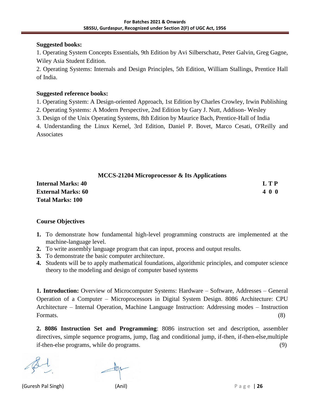#### **Suggested books:**

1. Operating System Concepts Essentials, 9th Edition by Avi Silberschatz, Peter Galvin, Greg Gagne, Wiley Asia Student Edition.

2. Operating Systems: Internals and Design Principles, 5th Edition, William Stallings, Prentice Hall of India.

#### **Suggested reference books:**

1. Operating System: A Design-oriented Approach, 1st Edition by Charles Crowley, Irwin Publishing

2. Operating Systems: A Modern Perspective, 2nd Edition by Gary J. Nutt, Addison- Wesley

3. Design of the Unix Operating Systems, 8th Edition by Maurice Bach, Prentice-Hall of India

4. Understanding the Linux Kernel, 3rd Edition, Daniel P. Bovet, Marco Cesati, O'Reilly and Associates

#### **MCCS-21204 Microprocessor & Its Applications**

| <b>Internal Marks: 40</b> | LTP |
|---------------------------|-----|
| <b>External Marks: 60</b> | 400 |
| <b>Total Marks: 100</b>   |     |

#### **Course Objectives**

- **1.** To demonstrate how fundamental high-level programming constructs are implemented at the machine-language level.
- **2.** To write assembly language program that can input, process and output results.
- **3.** To demonstrate the basic computer architecture.
- **4.** Students will be to apply mathematical foundations, algorithmic principles, and computer science theory to the modeling and design of computer based systems

**1. Introduction:** Overview of Microcomputer Systems: Hardware – Software, Addresses – General Operation of a Computer – Microprocessors in Digital System Design. 8086 Architecture: CPU Architecture – Internal Operation, Machine Language Instruction: Addressing modes – Instruction Formats. (8)

**2. 8086 Instruction Set and Programming**: 8086 instruction set and description, assembler directives, simple sequence programs, jump, flag and conditional jump, if-then, if-then-else,multiple if-then-else programs, while do programs. (9)

(Guresh Pal Singh) (Anil) P a g e | **26**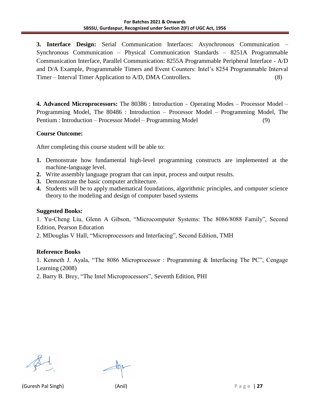**3. Interface Design:** Serial Communication Interfaces: Asynchronous Communication – Synchronous Communication – Physical Communication Standards – 8251A Programmable Communication Interface, Parallel Communication: 8255A Programmable Peripheral Interface - A/D and D/A Example, Programmable Timers and Event Counters: Intel's 8254 Programmable Interval Timer – Interval Timer Application to A/D, DMA Controllers. (8)

**4. Advanced Microprocessors:** The 80386 : Introduction – Operating Modes – Processor Model – Programming Model, The 80486 : Introduction – Processor Model – Programming Model, The Pentium : Introduction – Processor Model – Programming Model (9)

#### **Course Outcome:**

After completing this course student will be able to:

- **1.** Demonstrate how fundamental high-level programming constructs are implemented at the machine-language level.
- **2.** Write assembly language program that can input, process and output results.
- **3.** Demonstrate the basic computer architecture.
- **4.** Students will be to apply mathematical foundations, algorithmic principles, and computer science theory to the modeling and design of computer based systems

#### **Suggested Books:**

1. Yu-Cheng Liu, Glenn A Gibson, "Microcomputer Systems: The 8086/8088 Family", Second Edition, Pearson Education

2. MDouglas V Hall, "Microprocessors and Interfacing", Second Edition, TMH

#### **Reference Books**

1. Kenneth J. Ayala, "The 8086 Microprocessor : Programming & Interfacing The PC", Cengage Learning (2008)

2. Barry B. Brey, "The Intel Microprocessors", Seventh Edition, PHI

(Guresh Pal Singh) (Anil) P a g e | **27**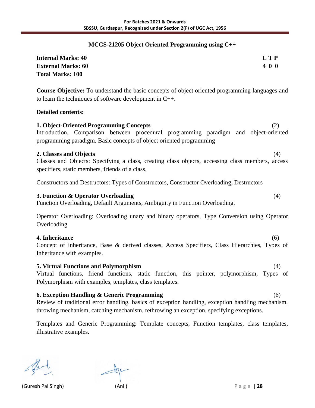#### **MCCS-21205 Object Oriented Programming using C++**

| <b>Internal Marks: 40</b> | L T P |
|---------------------------|-------|
| <b>External Marks: 60</b> | 400   |
| <b>Total Marks: 100</b>   |       |

**Course Objective:** To understand the basic concepts of object oriented programming languages and to learn the techniques of software development in C++.

#### **Detailed contents:**

**1. Object-Oriented Programming Concepts** (2) Introduction, Comparison between procedural programming paradigm and object-oriented programming paradigm, Basic concepts of object oriented programming

#### **2. Classes and Objects** (4)

Classes and Objects: Specifying a class, creating class objects, accessing class members, access specifiers, static members, friends of a class,

Constructors and Destructors: Types of Constructors, Constructor Overloading, Destructors

#### **3. Function & Operator Overloading** (4)

Function Overloading, Default Arguments, Ambiguity in Function Overloading.

Operator Overloading: Overloading unary and binary operators, Type Conversion using Operator **Overloading** 

#### **4. Inheritance** (6)

Concept of inheritance, Base & derived classes, Access Specifiers, Class Hierarchies, Types of Inheritance with examples.

#### **5. Virtual Functions and Polymorphism** (4)

Virtual functions, friend functions, static function, this pointer, polymorphism, Types of Polymorphism with examples, templates, class templates.

#### **6. Exception Handling & Generic Programming** (6)

Review of traditional error handling, basics of exception handling, exception handling mechanism, throwing mechanism, catching mechanism, rethrowing an exception, specifying exceptions.

Templates and Generic Programming: Template concepts, Function templates, class templates, illustrative examples.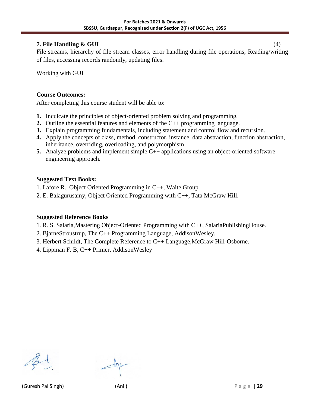#### **7. File Handling & GUI** (4)

File streams, hierarchy of file stream classes, error handling during file operations, Reading/writing of files, accessing records randomly, updating files.

Working with GUI

#### **Course Outcomes:**

After completing this course student will be able to:

- **1.** Inculcate the principles of object-oriented problem solving and programming.
- **2.** Outline the essential features and elements of the C++ programming language.
- **3.** Explain programming fundamentals, including statement and control flow and recursion.
- **4.** Apply the concepts of class, method, constructor, instance, data abstraction, function abstraction, inheritance, overriding, overloading, and polymorphism.
- **5.** Analyze problems and implement simple C++ applications using an object-oriented software engineering approach.

#### **Suggested Text Books:**

- 1. Lafore R., Object Oriented Programming in C++, Waite Group.
- 2. E. Balagurusamy, Object Oriented Programming with C++, Tata McGraw Hill.

#### **Suggested Reference Books**

- 1. R. S. Salaria,Mastering Object-Oriented Programming with C++, SalariaPublishingHouse.
- 2. BjarneStroustrup, The C++ Programming Language, AddisonWesley.
- 3. Herbert Schildt, The Complete Reference to C++ Language,McGraw Hill-Osborne.
- 4. Lippman F. B, C++ Primer, AddisonWesley

(Guresh Pal Singh) (Anil) P a g e | **29**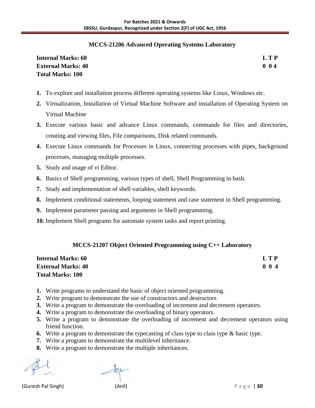#### **MCCS-21206 Advanced Operating Systems Laboratory**

| <b>Internal Marks: 60</b> | LTP |
|---------------------------|-----|
| <b>External Marks: 40</b> | 004 |
| <b>Total Marks: 100</b>   |     |

- **1.** To explore and installation process different operating systems like Linux, Windows etc.
- **2.** Virtualization, Installation of Virtual Machine Software and installation of Operating System on Virtual Machine
- **3.** Execute various basic and advance Linux commands, commands for files and directories, creating and viewing files, File comparisons, Disk related commands.
- **4.** Execute Linux commands for Processes in Linux, connecting processes with pipes, background processes, managing multiple processes.
- **5.** Study and usage of vi Editor.
- **6.** Basics of Shell programming, various types of shell, Shell Programming in bash.
- **7.** Study and implementation of shell variables, shell keywords.
- **8.** Implement conditional statements, looping statement and case statement in Shell programming.
- **9.** Implement parameter passing and arguments in Shell programming.
- **10.** Implement Shell programs for automate system tasks and report printing.

#### **MCCS-21207 Object Oriented Programming using C++ Laboratory**

| <b>Internal Marks: 60</b> | LTP         |
|---------------------------|-------------|
| <b>External Marks: 40</b> | $0 \t0 \t4$ |
| <b>Total Marks: 100</b>   |             |

- **1.** Write programs to understand the basic of object oriented programming.
- **2.** Write program to demonstrate the use of constructors and destructors
- **3.** Write a program to demonstrate the overloading of increment and decrement operators.
- **4.** Write a program to demonstrate the overloading of binary operators.
- **5.** Write a program to demonstrate the overloading of increment and decrement operators using friend function.
- **6.** Write a program to demonstrate the typecasting of class type to class type & basic type.
- **7.** Write a program to demonstrate the multilevel inheritance.
- **8.** Write a program to demonstrate the multiple inheritances.

(Guresh Pal Singh) (Anil) P a g e | **30**